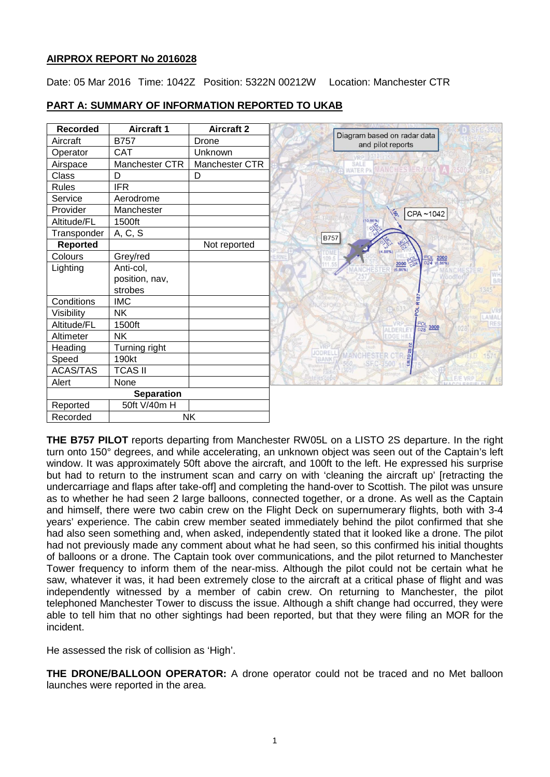## **AIRPROX REPORT No 2016028**

Date: 05 Mar 2016 Time: 1042Z Position: 5322N 00212W Location: Manchester CTR

| <b>Recorded</b>   | <b>Aircraft 1</b> | <b>Aircraft 2</b> |                                                  |
|-------------------|-------------------|-------------------|--------------------------------------------------|
| Aircraft          | <b>B757</b>       | Drone             | Diagram based on radar data<br>and pilot reports |
| Operator          | <b>CAT</b>        | Unknown           |                                                  |
| Airspace          | Manchester CTR    | Manchester CTR    | SALE                                             |
| Class             | D                 | D                 | WATER PK WANC                                    |
| <b>Rules</b>      | <b>IFR</b>        |                   |                                                  |
| Service           | Aerodrome         |                   |                                                  |
| Provider          | Manchester        |                   | CPA~1042<br>ÝB.                                  |
| Altitude/FL       | 1500ft            |                   | 10.86%                                           |
| Transponder       | A, C, S           |                   | <b>B757</b>                                      |
| Reported          |                   | Not reported      | (4.88%)                                          |
| Colours           | Grey/red          |                   | $rac{POL}{D24}$<br>$\frac{2000}{(6.86\%)}$       |
| Lighting          | Anti-col,         |                   | $\frac{2000}{(6.86\%)}$ $\frac{POL}{D2A}$        |
|                   | position, nav,    |                   | WI<br>BR                                         |
|                   | strobes           |                   |                                                  |
| Conditions        | <b>IMC</b>        |                   |                                                  |
| Visibility        | <b>NK</b>         |                   | AMAI                                             |
| Altitude/FL       | 1500ft            |                   | $rac{POL}{D28}$<br>3000<br><b>ALDERLE</b>        |
| Altimeter         | <b>NK</b>         |                   | EDGE HIL                                         |
| Heading           | Turning right     |                   | <b>JODREL</b>                                    |
| Speed             | 190kt             |                   | LISTO 28<br><b>BANK</b><br><b>SEC-9500</b>       |
| ACAS/TAS          | <b>TCAS II</b>    |                   |                                                  |
| Alert             | None              |                   |                                                  |
| <b>Separation</b> |                   |                   |                                                  |
| Reported          | 50ft V/40m H      |                   |                                                  |
| Recorded          | <b>NK</b>         |                   |                                                  |

# **PART A: SUMMARY OF INFORMATION REPORTED TO UKAB**

**THE B757 PILOT** reports departing from Manchester RW05L on a LISTO 2S departure. In the right turn onto 150° degrees, and while accelerating, an unknown object was seen out of the Captain's left window. It was approximately 50ft above the aircraft, and 100ft to the left. He expressed his surprise but had to return to the instrument scan and carry on with 'cleaning the aircraft up' [retracting the undercarriage and flaps after take-off] and completing the hand-over to Scottish. The pilot was unsure as to whether he had seen 2 large balloons, connected together, or a drone. As well as the Captain and himself, there were two cabin crew on the Flight Deck on supernumerary flights, both with 3-4 years' experience. The cabin crew member seated immediately behind the pilot confirmed that she had also seen something and, when asked, independently stated that it looked like a drone. The pilot had not previously made any comment about what he had seen, so this confirmed his initial thoughts of balloons or a drone. The Captain took over communications, and the pilot returned to Manchester Tower frequency to inform them of the near-miss. Although the pilot could not be certain what he saw, whatever it was, it had been extremely close to the aircraft at a critical phase of flight and was independently witnessed by a member of cabin crew. On returning to Manchester, the pilot telephoned Manchester Tower to discuss the issue. Although a shift change had occurred, they were able to tell him that no other sightings had been reported, but that they were filing an MOR for the incident.

He assessed the risk of collision as 'High'.

**THE DRONE/BALLOON OPERATOR:** A drone operator could not be traced and no Met balloon launches were reported in the area.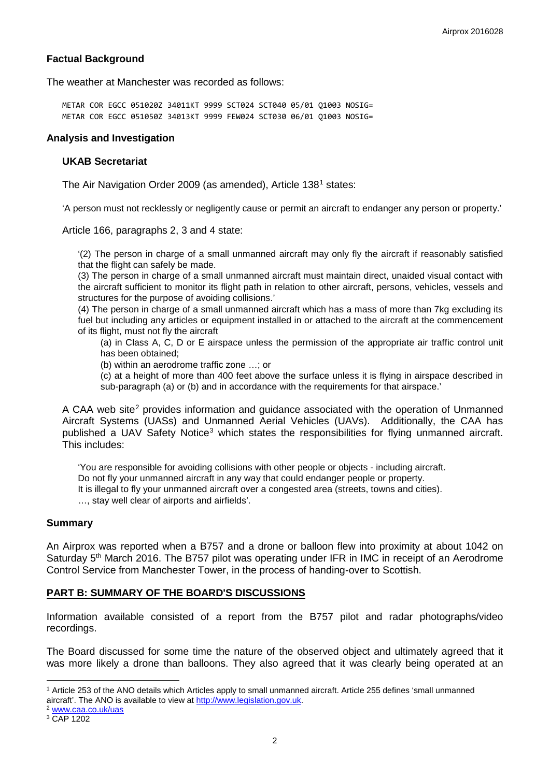## **Factual Background**

The weather at Manchester was recorded as follows:

METAR COR EGCC 051020Z 34011KT 9999 SCT024 SCT040 05/01 Q1003 NOSIG= METAR COR EGCC 051050Z 34013KT 9999 FEW024 SCT030 06/01 Q1003 NOSIG=

#### **Analysis and Investigation**

#### **UKAB Secretariat**

The Air Navigation Order 2009 (as amended), Article [1](#page-1-0)38<sup>1</sup> states:

'A person must not recklessly or negligently cause or permit an aircraft to endanger any person or property.'

Article 166, paragraphs 2, 3 and 4 state:

'(2) The person in charge of a small unmanned aircraft may only fly the aircraft if reasonably satisfied that the flight can safely be made.

(3) The person in charge of a small unmanned aircraft must maintain direct, unaided visual contact with the aircraft sufficient to monitor its flight path in relation to other aircraft, persons, vehicles, vessels and structures for the purpose of avoiding collisions.'

(4) The person in charge of a small unmanned aircraft which has a mass of more than 7kg excluding its fuel but including any articles or equipment installed in or attached to the aircraft at the commencement of its flight, must not fly the aircraft

(a) in Class A, C, D or E airspace unless the permission of the appropriate air traffic control unit has been obtained;

(b) within an aerodrome traffic zone …; or

(c) at a height of more than 400 feet above the surface unless it is flying in airspace described in sub-paragraph (a) or (b) and in accordance with the requirements for that airspace.'

A CAA web site<sup>[2](#page-1-1)</sup> provides information and guidance associated with the operation of Unmanned Aircraft Systems (UASs) and Unmanned Aerial Vehicles (UAVs). Additionally, the CAA has published a UAV Safety Notice<sup>[3](#page-1-2)</sup> which states the responsibilities for flying unmanned aircraft. This includes:

'You are responsible for avoiding collisions with other people or objects - including aircraft. Do not fly your unmanned aircraft in any way that could endanger people or property. It is illegal to fly your unmanned aircraft over a congested area (streets, towns and cities). …, stay well clear of airports and airfields'.

#### **Summary**

An Airprox was reported when a B757 and a drone or balloon flew into proximity at about 1042 on Saturday 5<sup>th</sup> March 2016. The B757 pilot was operating under IFR in IMC in receipt of an Aerodrome Control Service from Manchester Tower, in the process of handing-over to Scottish.

#### **PART B: SUMMARY OF THE BOARD'S DISCUSSIONS**

Information available consisted of a report from the B757 pilot and radar photographs/video recordings.

The Board discussed for some time the nature of the observed object and ultimately agreed that it was more likely a drone than balloons. They also agreed that it was clearly being operated at an

<span id="page-1-1"></span>

 $\overline{\phantom{a}}$ 

<span id="page-1-0"></span><sup>1</sup> Article 253 of the ANO details which Articles apply to small unmanned aircraft. Article 255 defines 'small unmanned aircraft'. The ANO is available to view at [http://www.legislation.gov.uk.](http://www.legislation.gov.uk/)<br><sup>2</sup> [www.caa.co.uk/uas](http://www.caa.co.uk/uas)

<span id="page-1-2"></span><sup>3</sup> CAP 1202